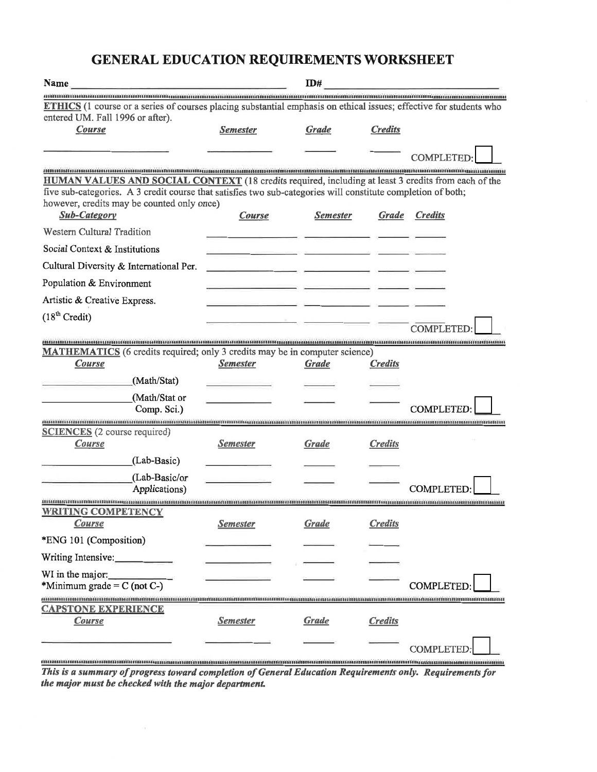#### **GENERAL EDUCATION REQUIREMENTS WORKSHEET**

| Name                                                                                                               |                 | ID#             |                |                   |
|--------------------------------------------------------------------------------------------------------------------|-----------------|-----------------|----------------|-------------------|
| ETHICS (1 course or a series of courses placing substantial emphasis on ethical issues; effective for students who |                 |                 |                |                   |
| entered UM. Fall 1996 or after).                                                                                   |                 |                 |                |                   |
| Course                                                                                                             | <b>Semester</b> | Grade           | <b>Credits</b> |                   |
|                                                                                                                    |                 |                 |                |                   |
|                                                                                                                    |                 |                 |                | <b>COMPLETED:</b> |
| <b>HUMAN VALUES AND SOCIAL CONTEXT</b> (18 credits required, including at least 3 credits from each of the         |                 |                 |                |                   |
| five sub-categories. A 3 credit course that satisfies two sub-categories will constitute completion of both;       |                 |                 |                |                   |
| however, credits may be counted only once)<br><b>Sub-Category</b>                                                  | <b>Course</b>   | <b>Semester</b> | Grade          | <b>Credits</b>    |
| Western Cultural Tradition                                                                                         |                 |                 |                |                   |
| Social Context & Institutions                                                                                      |                 |                 |                |                   |
| Cultural Diversity & International Per.                                                                            |                 |                 |                |                   |
| Population & Environment                                                                                           |                 |                 |                |                   |
| Artistic & Creative Express.                                                                                       |                 |                 |                |                   |
| (18 <sup>th</sup> Credit)                                                                                          |                 |                 |                |                   |
|                                                                                                                    |                 |                 |                | <b>COMPLETED</b>  |
| MATHEMATICS (6 credits required; only 3 credits may be in computer science)                                        |                 |                 |                |                   |
| <b>Course</b>                                                                                                      | <b>Semester</b> | <b>Grade</b>    | <b>Credits</b> |                   |
| (Math/Stat)                                                                                                        |                 |                 |                |                   |
| (Math/Stat or                                                                                                      |                 |                 |                |                   |
| Comp. Sci.)                                                                                                        |                 |                 |                | COMPLETED:        |
| <b>SCIENCES</b> (2 course required)                                                                                |                 |                 |                |                   |
| Course                                                                                                             | <b>Semester</b> | <b>Grade</b>    | <b>Credits</b> |                   |
| (Lab-Basic)                                                                                                        |                 |                 |                |                   |
| (Lab-Basic/or                                                                                                      |                 |                 |                |                   |
| Applications)                                                                                                      |                 |                 |                | <b>COMPLETED:</b> |
| <b>WRITING COMPETENCY</b>                                                                                          |                 |                 |                |                   |
| Course                                                                                                             | <u>Semester</u> | <b>Grade</b>    | <b>Credits</b> |                   |
| *ENG 101 (Composition)                                                                                             |                 |                 |                |                   |
| Writing Intensive:_____________                                                                                    |                 |                 |                |                   |
| WI in the major:                                                                                                   |                 |                 |                |                   |
| *Minimum grade = $C$ (not $C$ -)                                                                                   |                 |                 |                | <b>COMPLETED</b>  |
| <b>CAPSTONE EXPERIENCE</b>                                                                                         |                 |                 |                |                   |
| <b>Course</b>                                                                                                      | <u>Semester</u> | <b>Grade</b>    | <b>Credits</b> |                   |
|                                                                                                                    |                 |                 |                |                   |
|                                                                                                                    |                 |                 |                | COMPLETED         |

**Manufacture Constitution of the Constitution Constitution of General Education Requirements only.** Requirements for<br>This is a summary of progress toward completion of General Education Requirements only. Requirements for